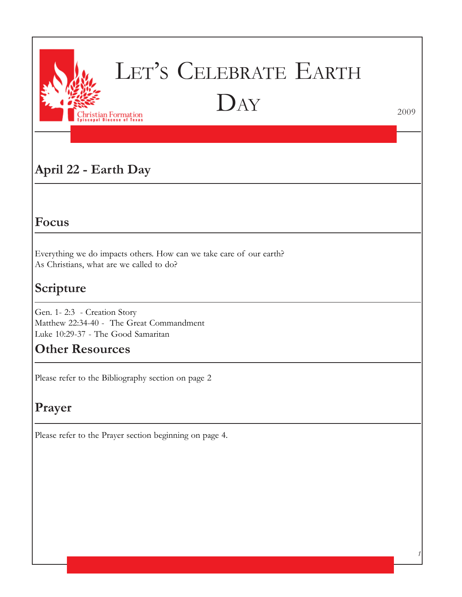

# LET'S CELEBRATE EARTH DAY

2009

*1*

# **April 22 - Earth Day**

## **Focus**

Everything we do impacts others. How can we take care of our earth? As Christians, what are we called to do?

# **Scripture**

Gen. 1- 2:3 - Creation Story Matthew 22:34-40 - The Great Commandment Luke 10:29-37 - The Good Samaritan

## **Other Resources**

Please refer to the Bibliography section on page 2

# **Prayer**

Please refer to the Prayer section beginning on page 4.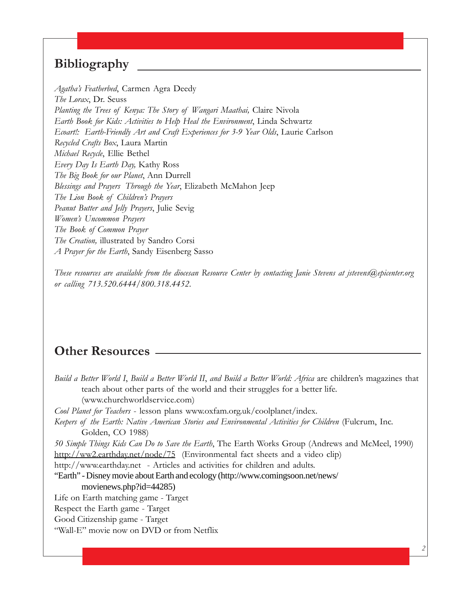## **Bibliography**

*Agatha's Featherbed*, Carmen Agra Deedy *The Lorax*, Dr. Seuss *Planting the Trees of Kenya: The Story of Wangari Maathai,* Claire Nivola *Earth Book for Kids: Activities to Help Heal the Environment*, Linda Schwartz *Ecoart!: Earth-Friendly Art and Craft Experiences for 3-9 Year Olds*, Laurie Carlson *Recycled Crafts Box*, Laura Martin *Michael Recycle*, Ellie Bethel *Every Day Is Earth Day,* Kathy Ross *The Big Book for our Planet*, Ann Durrell *Blessings and Prayers Through the Year*, Elizabeth McMahon Jeep *The Lion Book of Children's Prayers Peanut Butter and Jelly Prayers*, Julie Sevig *Women's Uncommon Prayers The Book of Common Prayer The Creation,* illustrated by Sandro Corsi *A Prayer for the Earth*, Sandy Eisenberg Sasso

*These resources are available from the diocesan Resource Center by contacting Janie Stevens at jstevens@epicenter.org or calling 713.520.6444/800.318.4452.*

## **Other Resources**

| Build a Better World I, Build a Better World II, and Build a Better World: Africa are children's magazines that |
|-----------------------------------------------------------------------------------------------------------------|
| teach about other parts of the world and their struggles for a better life.                                     |
| (www.churchworldservice.com)                                                                                    |
| Cool Planet for Teachers - lesson plans www.oxfam.org.uk/coolplanet/index.                                      |
| Keepers of the Earth: Native American Stories and Environmental Activities for Children (Fulcrum, Inc.          |
| Golden, CO 1988)                                                                                                |
| 50 Simple Things Kids Can Do to Save the Earth, The Earth Works Group (Andrews and McMeel, 1990)                |
| http://ww2.earthday.net/node/75 (Environmental fact sheets and a video clip)                                    |
| http://www.earthday.net - Articles and activities for children and adults.                                      |
| "Earth" - Disney movie about Earth and ecology (http://www.comingsoon.net/news/                                 |
| movienews.php?id=44285)                                                                                         |
| Life on Earth matching game - Target                                                                            |
| Respect the Earth game - Target                                                                                 |
| Good Citizenship game - Target                                                                                  |
| "Wall-E" movie now on DVD or from Netflix                                                                       |

*2*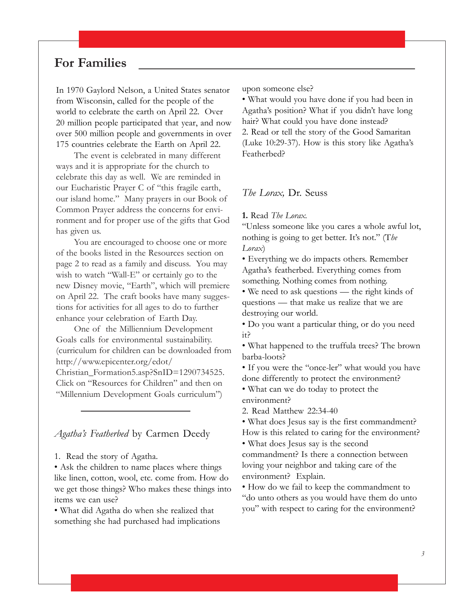## **For Families**

In 1970 Gaylord Nelson, a United States senator from Wisconsin, called for the people of the world to celebrate the earth on April 22. Over 20 million people participated that year, and now over 500 million people and governments in over 175 countries celebrate the Earth on April 22.

The event is celebrated in many different ways and it is appropriate for the church to celebrate this day as well. We are reminded in our Eucharistic Prayer C of "this fragile earth, our island home." Many prayers in our Book of Common Prayer address the concerns for environment and for proper use of the gifts that God has given us.

You are encouraged to choose one or more of the books listed in the Resources section on page 2 to read as a family and discuss. You may wish to watch "Wall-E" or certainly go to the new Disney movie, "Earth", which will premiere on April 22. The craft books have many suggestions for activities for all ages to do to further enhance your celebration of Earth Day.

One of the Milliennium Development Goals calls for environmental sustainability. (curriculum for children can be downloaded from http://www.epicenter.org/edot/ Christian\_Formation5.asp?SnID=1290734525. Click on "Resources for Children" and then on "Millennium Development Goals curriculum")

*Agatha's Featherbed* by Carmen Deedy

1. Read the story of Agatha.

• Ask the children to name places where things like linen, cotton, wool, etc. come from. How do we get those things? Who makes these things into items we can use?

• What did Agatha do when she realized that something she had purchased had implications upon someone else?

• What would you have done if you had been in Agatha's position? What if you didn't have long hair? What could you have done instead? 2. Read or tell the story of the Good Samaritan (Luke 10:29-37). How is this story like Agatha's Featherbed?

#### *The Lorax,* Dr. Seuss

**1.** Read *The Lorax.*

"Unless someone like you cares a whole awful lot, nothing is going to get better. It's not." (T*he Lorax*)

• Everything we do impacts others. Remember Agatha's featherbed. Everything comes from something. Nothing comes from nothing.

• We need to ask questions — the right kinds of questions — that make us realize that we are destroying our world.

• Do you want a particular thing, or do you need it?

• What happened to the truffula trees? The brown barba-loots?

• If you were the "once-ler" what would you have done differently to protect the environment?

• What can we do today to protect the environment?

2. Read Matthew 22:34-40

• What does Jesus say is the first commandment?

How is this related to caring for the environment?

• What does Jesus say is the second

commandment? Is there a connection between loving your neighbor and taking care of the environment? Explain.

• How do we fail to keep the commandment to "do unto others as you would have them do unto you" with respect to caring for the environment?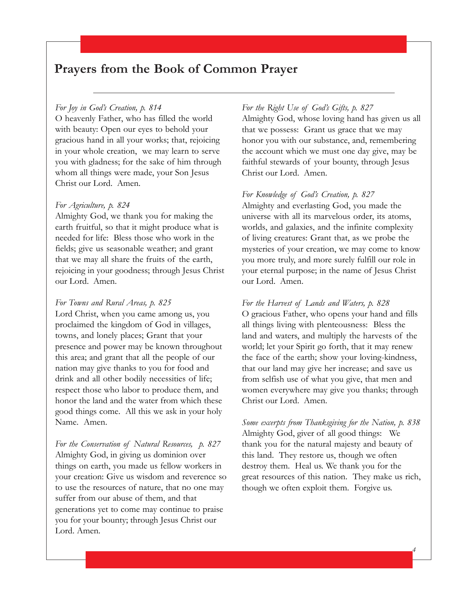## **Prayers from the Book of Common Prayer**

#### *For Joy in God's Creation, p. 814*

O heavenly Father, who has filled the world with beauty: Open our eyes to behold your gracious hand in all your works; that, rejoicing in your whole creation, we may learn to serve you with gladness; for the sake of him through whom all things were made, your Son Jesus Christ our Lord. Amen.

#### *For Agriculture, p. 824*

Almighty God, we thank you for making the earth fruitful, so that it might produce what is needed for life: Bless those who work in the fields; give us seasonable weather; and grant that we may all share the fruits of the earth, rejoicing in your goodness; through Jesus Christ our Lord. Amen.

#### *For Towns and Rural Areas, p. 825*

Lord Christ, when you came among us, you proclaimed the kingdom of God in villages, towns, and lonely places; Grant that your presence and power may be known throughout this area; and grant that all the people of our nation may give thanks to you for food and drink and all other bodily necessities of life; respect those who labor to produce them, and honor the land and the water from which these good things come. All this we ask in your holy Name. Amen.

*For the Conservation of Natural Resources, p. 827* Almighty God, in giving us dominion over things on earth, you made us fellow workers in your creation: Give us wisdom and reverence so to use the resources of nature, that no one may suffer from our abuse of them, and that generations yet to come may continue to praise you for your bounty; through Jesus Christ our Lord. Amen.

### *For the Right Use of God's Gifts, p. 827*

Almighty God, whose loving hand has given us all that we possess: Grant us grace that we may honor you with our substance, and, remembering the account which we must one day give, may be faithful stewards of your bounty, through Jesus Christ our Lord. Amen.

#### *For Knowledge of God's Creation, p. 827*

Almighty and everlasting God, you made the universe with all its marvelous order, its atoms, worlds, and galaxies, and the infinite complexity of living creatures: Grant that, as we probe the mysteries of your creation, we may come to know you more truly, and more surely fulfill our role in your eternal purpose; in the name of Jesus Christ our Lord. Amen.

#### *For the Harvest of Lands and Waters, p. 828*

O gracious Father, who opens your hand and fills all things living with plenteousness: Bless the land and waters, and multiply the harvests of the world; let your Spirit go forth, that it may renew the face of the earth; show your loving-kindness, that our land may give her increase; and save us from selfish use of what you give, that men and women everywhere may give you thanks; through Christ our Lord. Amen.

*Some excerpts from Thanksgiving for the Nation, p. 838* Almighty God, giver of all good things: We thank you for the natural majesty and beauty of this land. They restore us, though we often destroy them. Heal us. We thank you for the great resources of this nation. They make us rich, though we often exploit them. Forgive us.

*4*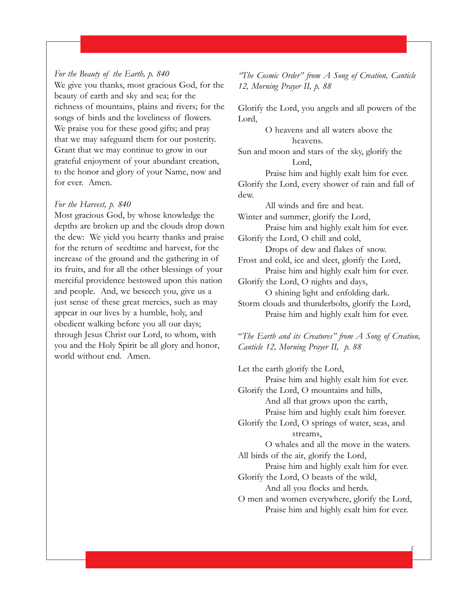## *For the Beauty of the Earth, p. 840*

We give you thanks, most gracious God, for the beauty of earth and sky and sea; for the richness of mountains, plains and rivers; for the songs of birds and the loveliness of flowers. We praise you for these good gifts; and pray that we may safeguard them for our posterity. Grant that we may continue to grow in our grateful enjoyment of your abundant creation, to the honor and glory of your Name, now and for ever. Amen.

#### *For the Harvest, p. 840*

Most gracious God, by whose knowledge the depths are broken up and the clouds drop down the dew: We yield you hearty thanks and praise for the return of seedtime and harvest, for the increase of the ground and the gathering in of its fruits, and for all the other blessings of your merciful providence bestowed upon this nation and people. And, we beseech you, give us a just sense of these great mercies, such as may appear in our lives by a humble, holy, and obedient walking before you all our days; through Jesus Christ our Lord, to whom, with you and the Holy Spirit be all glory and honor, world without end. Amen.

*"The Cosmic Order" from A Song of Creation, Canticle 12, Morning Prayer II, p. 88*

Glorify the Lord, you angels and all powers of the Lord,

> O heavens and all waters above the heavens.

Sun and moon and stars of the sky, glorify the Lord,

Praise him and highly exalt him for ever. Glorify the Lord, every shower of rain and fall of dew.

All winds and fire and heat.

Winter and summer, glorify the Lord, Praise him and highly exalt him for ever.

Glorify the Lord, O chill and cold,

Drops of dew and flakes of snow. Frost and cold, ice and sleet, glorify the Lord,

Praise him and highly exalt him for ever. Glorify the Lord, O nights and days,

O shining light and enfolding dark.

Storm clouds and thunderbolts, glorify the Lord, Praise him and highly exalt him for ever.

"*The Earth and its Creatures" from A Song of Creation, Canticle 12, Morning Prayer II, p. 88*

Let the earth glorify the Lord, Praise him and highly exalt him for ever. Glorify the Lord, O mountains and hills, And all that grows upon the earth, Praise him and highly exalt him forever. Glorify the Lord, O springs of water, seas, and streams, O whales and all the move in the waters. All birds of the air, glorify the Lord, Praise him and highly exalt him for ever. Glorify the Lord, O beasts of the wild, And all you flocks and herds.

O men and women everywhere, glorify the Lord, Praise him and highly exalt him for ever.

*5*